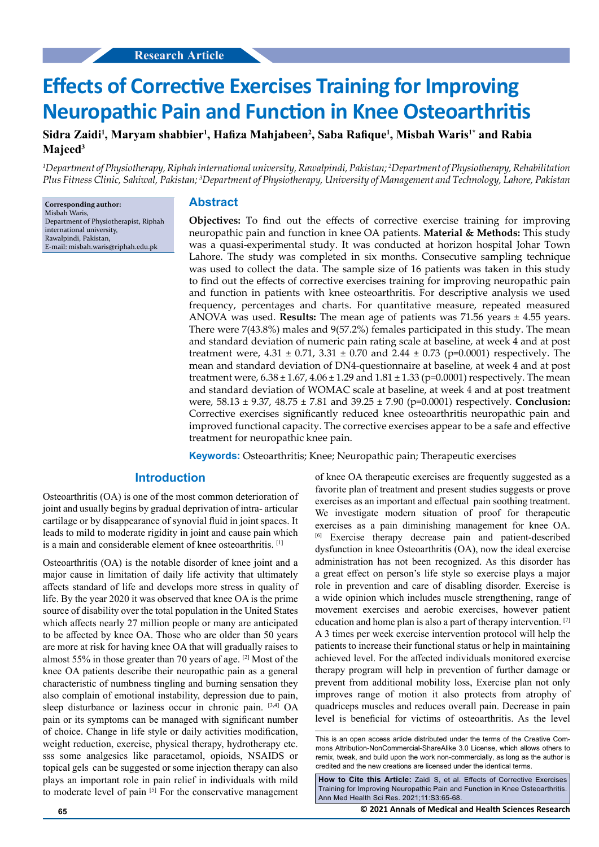# **Effects of Corrective Exercises Training for Improving Neuropathic Pain and Function in Knee Osteoarthritis**

## **Sidra Zaidi1 , Maryam shabbier1 , Hafiza Mahjabeen<sup>2</sup> , Saba Rafique<sup>1</sup> , Misbah Waris1\* and Rabia Majeed<sup>3</sup>**

*1 Department of Physiotherapy, Riphah international university, Rawalpindi, Pakistan; 2 Department of Physiotherapy, Rehabilitation Plus Fitness Clinic, Sahiwal, Pakistan; 3 Department of Physiotherapy, University of Management and Technology, Lahore, Pakistan*

**Corresponding author:** Misbah Waris, Department of Physiotherapist, Riphah international university, Rawalpindi, Pakistan, E-mail: misbah.waris@riphah.edu.pk

#### **Abstract**

**Objectives:** To find out the effects of corrective exercise training for improving neuropathic pain and function in knee OA patients. **Material & Methods:** This study was a quasi-experimental study. It was conducted at horizon hospital Johar Town Lahore. The study was completed in six months. Consecutive sampling technique was used to collect the data. The sample size of 16 patients was taken in this study to find out the effects of corrective exercises training for improving neuropathic pain and function in patients with knee osteoarthritis. For descriptive analysis we used frequency, percentages and charts. For quantitative measure, repeated measured ANOVA was used. **Results:** The mean age of patients was 71.56 years ± 4.55 years. There were 7(43.8%) males and 9(57.2%) females participated in this study. The mean and standard deviation of numeric pain rating scale at baseline, at week 4 and at post treatment were,  $4.31 \pm 0.71$ ,  $3.31 \pm 0.70$  and  $2.44 \pm 0.73$  (p=0.0001) respectively. The mean and standard deviation of DN4-questionnaire at baseline, at week 4 and at post treatment were,  $6.38 \pm 1.67$ ,  $4.06 \pm 1.29$  and  $1.81 \pm 1.33$  (p=0.0001) respectively. The mean and standard deviation of WOMAC scale at baseline, at week 4 and at post treatment were, 58.13 ± 9.37, 48.75 ± 7.81 and 39.25 ± 7.90 (p=0.0001) respectively. **Conclusion:**  Corrective exercises significantly reduced knee osteoarthritis neuropathic pain and improved functional capacity. The corrective exercises appear to be a safe and effective treatment for neuropathic knee pain.

**Keywords:** Osteoarthritis; Knee; Neuropathic pain; Therapeutic exercises

## **Introduction**

Osteoarthritis (OA) is one of the most common deterioration of joint and usually begins by gradual deprivation of intra- articular cartilage or by disappearance of synovial fluid in joint spaces. It leads to mild to moderate rigidity in joint and cause pain which is a main and considerable element of knee osteoarthritis. [1]

Osteoarthritis (OA) is the notable disorder of knee joint and a major cause in limitation of daily life activity that ultimately affects standard of life and develops more stress in quality of life. By the year 2020 it was observed that knee OA is the prime source of disability over the total population in the United States which affects nearly 27 million people or many are anticipated to be affected by knee OA. Those who are older than 50 years are more at risk for having knee OA that will gradually raises to almost 55% in those greater than 70 years of age. [2] Most of the knee OA patients describe their neuropathic pain as a general characteristic of numbness tingling and burning sensation they also complain of emotional instability, depression due to pain, sleep disturbance or laziness occur in chronic pain. [3,4] OA pain or its symptoms can be managed with significant number of choice. Change in life style or daily activities modification, weight reduction, exercise, physical therapy, hydrotherapy etc. sss some analgesics like paracetamol, opioids, NSAIDS or topical gels can be suggested or some injection therapy can also plays an important role in pain relief in individuals with mild to moderate level of pain [5] For the conservative management

of knee OA therapeutic exercises are frequently suggested as a favorite plan of treatment and present studies suggests or prove exercises as an important and effectual pain soothing treatment. We investigate modern situation of proof for therapeutic exercises as a pain diminishing management for knee OA. Exercise therapy decrease pain and patient-described dysfunction in knee Osteoarthritis (OA), now the ideal exercise administration has not been recognized. As this disorder has a great effect on person's life style so exercise plays a major role in prevention and care of disabling disorder. Exercise is a wide opinion which includes muscle strengthening, range of movement exercises and aerobic exercises, however patient education and home plan is also a part of therapy intervention. [7] A 3 times per week exercise intervention protocol will help the patients to increase their functional status or help in maintaining achieved level. For the affected individuals monitored exercise therapy program will help in prevention of further damage or prevent from additional mobility loss, Exercise plan not only improves range of motion it also protects from atrophy of quadriceps muscles and reduces overall pain. Decrease in pain level is beneficial for victims of osteoarthritis. As the level

**How to Cite this Article:** Zaidi S, et al. Effects of Corrective Exercises Training for Improving Neuropathic Pain and Function in Knee Osteoarthritis. Ann Med Health Sci Res. 2021;11:S3:65-68.

**65 © 2021 Annals of Medical and Health Sciences Research** 

This is an open access article distributed under the terms of the Creative Commons Attribution-NonCommercial-ShareAlike 3.0 License, which allows others to remix, tweak, and build upon the work non‑commercially, as long as the author is credited and the new creations are licensed under the identical terms.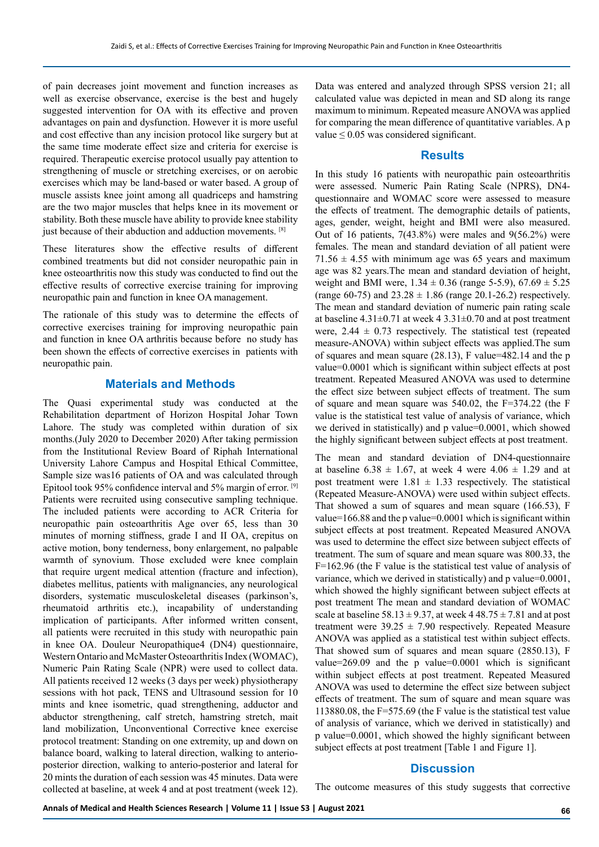of pain decreases joint movement and function increases as well as exercise observance, exercise is the best and hugely suggested intervention for OA with its effective and proven advantages on pain and dysfunction. However it is more useful and cost effective than any incision protocol like surgery but at the same time moderate effect size and criteria for exercise is required. Therapeutic exercise protocol usually pay attention to strengthening of muscle or stretching exercises, or on aerobic exercises which may be land-based or water based. A group of muscle assists knee joint among all quadriceps and hamstring are the two major muscles that helps knee in its movement or stability. Both these muscle have ability to provide knee stability just because of their abduction and adduction movements. [8]

These literatures show the effective results of different combined treatments but did not consider neuropathic pain in knee osteoarthritis now this study was conducted to find out the effective results of corrective exercise training for improving neuropathic pain and function in knee OA management.

The rationale of this study was to determine the effects of corrective exercises training for improving neuropathic pain and function in knee OA arthritis because before no study has been shown the effects of corrective exercises in patients with neuropathic pain.

## **Materials and Methods**

The Quasi experimental study was conducted at the Rehabilitation department of Horizon Hospital Johar Town Lahore. The study was completed within duration of six months.(July 2020 to December 2020) After taking permission from the Institutional Review Board of Riphah International University Lahore Campus and Hospital Ethical Committee, Sample size was16 patients of OA and was calculated through Epitool took 95% confidence interval and 5% margin of error. [9] Patients were recruited using consecutive sampling technique. The included patients were according to ACR Criteria for neuropathic pain osteoarthritis Age over 65, less than 30 minutes of morning stiffness, grade I and II OA, crepitus on active motion, bony tenderness, bony enlargement, no palpable warmth of synovium. Those excluded were knee complain that require urgent medical attention (fracture and infection), diabetes mellitus, patients with malignancies, any neurological disorders, systematic musculoskeletal diseases (parkinson's, rheumatoid arthritis etc.), incapability of understanding implication of participants. After informed written consent, all patients were recruited in this study with neuropathic pain in knee OA. Douleur Neuropathique4 (DN4) questionnaire, Western Ontario and McMaster Osteoarthritis Index (WOMAC), Numeric Pain Rating Scale (NPR) were used to collect data. All patients received 12 weeks (3 days per week) physiotherapy sessions with hot pack, TENS and Ultrasound session for 10 mints and knee isometric, quad strengthening, adductor and abductor strengthening, calf stretch, hamstring stretch, mait land mobilization, Unconventional Corrective knee exercise protocol treatment: Standing on one extremity, up and down on balance board, walking to lateral direction, walking to anterioposterior direction, walking to anterio-posterior and lateral for 20 mints the duration of each session was 45 minutes. Data were collected at baseline, at week 4 and at post treatment (week 12).

Data was entered and analyzed through SPSS version 21; all calculated value was depicted in mean and SD along its range maximum to minimum. Repeated measure ANOVA was applied for comparing the mean difference of quantitative variables. A p value  $\leq 0.05$  was considered significant.

#### **Results**

In this study 16 patients with neuropathic pain osteoarthritis were assessed. Numeric Pain Rating Scale (NPRS), DN4 questionnaire and WOMAC score were assessed to measure the effects of treatment. The demographic details of patients, ages, gender, weight, height and BMI were also measured. Out of 16 patients,  $7(43.8%)$  were males and  $9(56.2%)$  were females. The mean and standard deviation of all patient were  $71.56 \pm 4.55$  with minimum age was 65 years and maximum age was 82 years.The mean and standard deviation of height, weight and BMI were,  $1.34 \pm 0.36$  (range 5-5.9),  $67.69 \pm 5.25$ (range 60-75) and  $23.28 \pm 1.86$  (range 20.1-26.2) respectively. The mean and standard deviation of numeric pain rating scale at baseline  $4.31\pm0.71$  at week  $4.331\pm0.70$  and at post treatment were,  $2.44 \pm 0.73$  respectively. The statistical test (repeated measure-ANOVA) within subject effects was applied.The sum of squares and mean square (28.13), F value=482.14 and the p value=0.0001 which is significant within subject effects at post treatment. Repeated Measured ANOVA was used to determine the effect size between subject effects of treatment. The sum of square and mean square was 540.02, the F=374.22 (the F value is the statistical test value of analysis of variance, which we derived in statistically) and p value=0.0001, which showed the highly significant between subject effects at post treatment.

The mean and standard deviation of DN4-questionnaire at baseline  $6.38 \pm 1.67$ , at week 4 were  $4.06 \pm 1.29$  and at post treatment were  $1.81 \pm 1.33$  respectively. The statistical (Repeated Measure-ANOVA) were used within subject effects. That showed a sum of squares and mean square (166.53), F value=166.88 and the p value=0.0001 which is significant within subject effects at post treatment. Repeated Measured ANOVA was used to determine the effect size between subject effects of treatment. The sum of square and mean square was 800.33, the F=162.96 (the F value is the statistical test value of analysis of variance, which we derived in statistically) and p value=0.0001, which showed the highly significant between subject effects at post treatment The mean and standard deviation of WOMAC scale at baseline 58.13  $\pm$  9.37, at week 4 48.75  $\pm$  7.81 and at post treatment were  $39.25 \pm 7.90$  respectively. Repeated Measure ANOVA was applied as a statistical test within subject effects. That showed sum of squares and mean square (2850.13), F value= $269.09$  and the p value= $0.0001$  which is significant within subject effects at post treatment. Repeated Measured ANOVA was used to determine the effect size between subject effects of treatment. The sum of square and mean square was 113880.08, the F=575.69 (the F value is the statistical test value of analysis of variance, which we derived in statistically) and p value=0.0001, which showed the highly significant between subject effects at post treatment [Table 1 and Figure 1].

### **Discussion**

The outcome measures of this study suggests that corrective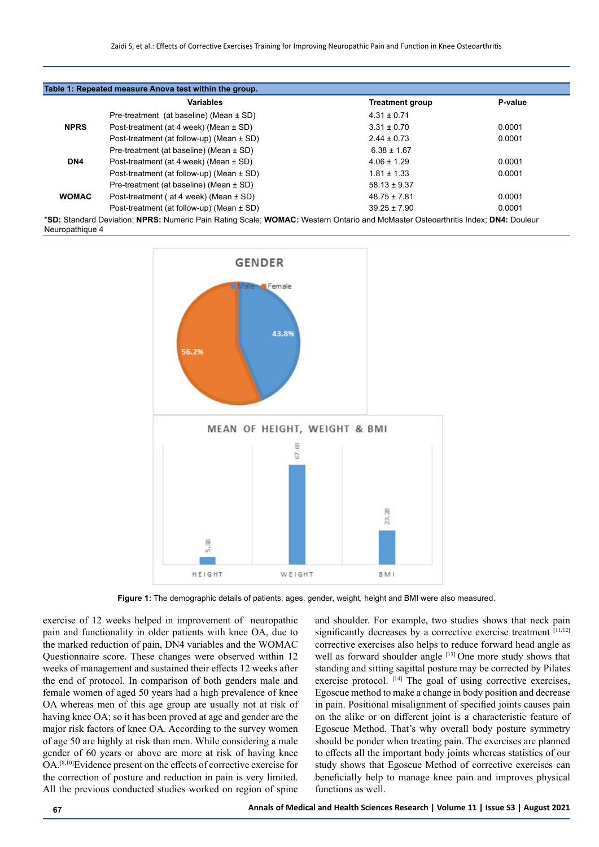|              | <b>Variables</b>                              | Treatment group  | P-value |
|--------------|-----------------------------------------------|------------------|---------|
|              | Pre-treatment (at baseline) (Mean $\pm$ SD)   | $4.31 \pm 0.71$  |         |
| <b>NPRS</b>  | Post-treatment (at 4 week) (Mean $\pm$ SD)    | $3.31 \pm 0.70$  | 0.0001  |
|              | Post-treatment (at follow-up) (Mean $\pm$ SD) | $2.44 \pm 0.73$  | 0.0001  |
|              | Pre-treatment (at baseline) (Mean $\pm$ SD)   | $6.38 \pm 1.67$  |         |
| DN4          | Post-treatment (at 4 week) (Mean $\pm$ SD)    | $4.06 \pm 1.29$  | 0.0001  |
|              | Post-treatment (at follow-up) (Mean $\pm$ SD) | $1.81 \pm 1.33$  | 0.0001  |
|              | Pre-treatment (at baseline) (Mean $\pm$ SD)   | $58.13 \pm 9.37$ |         |
| <b>WOMAC</b> | Post-treatment (at 4 week) (Mean ± SD)        | $48.75 \pm 7.81$ | 0.0001  |
|              | Post-treatment (at follow-up) (Mean ± SD)     | $39.25 \pm 7.90$ | 0.0001  |

\***SD:** Standard Deviation; **NPRS:** Numeric Pain Rating Scale; **WOMAC:** Western Ontario and McMaster Osteoarthritis Index; **DN4:** Douleur Neuropathique 4



**Figure 1:** The demographic details of patients, ages, gender, weight, height and BMI were also measured.

exercise of 12 weeks helped in improvement of neuropathic pain and functionality in older patients with knee OA, due to the marked reduction of pain, DN4 variables and the WOMAC Questionnaire score. These changes were observed within 12 weeks of management and sustained their effects 12 weeks after the end of protocol. In comparison of both genders male and female women of aged 50 years had a high prevalence of knee OA whereas men of this age group are usually not at risk of having knee OA; so it has been proved at age and gender are the major risk factors of knee OA. According to the survey women of age 50 are highly at risk than men. While considering a male gender of 60 years or above are more at risk of having knee OA.[8,10]Evidence present on the effects of corrective exercise for the correction of posture and reduction in pain is very limited. All the previous conducted studies worked on region of spine

and shoulder. For example, two studies shows that neck pain significantly decreases by a corrective exercise treatment [11,12] corrective exercises also helps to reduce forward head angle as well as forward shoulder angle [13] One more study shows that standing and sitting sagittal posture may be corrected by Pilates exercise protocol. <sup>[14]</sup> The goal of using corrective exercises, Egoscue method to make a change in body position and decrease in pain. Positional misalignment of specified joints causes pain on the alike or on different joint is a characteristic feature of Egoscue Method. That's why overall body posture symmetry should be ponder when treating pain. The exercises are planned to effects all the important body joints whereas statistics of our study shows that Egoscue Method of corrective exercises can beneficially help to manage knee pain and improves physical functions as well.